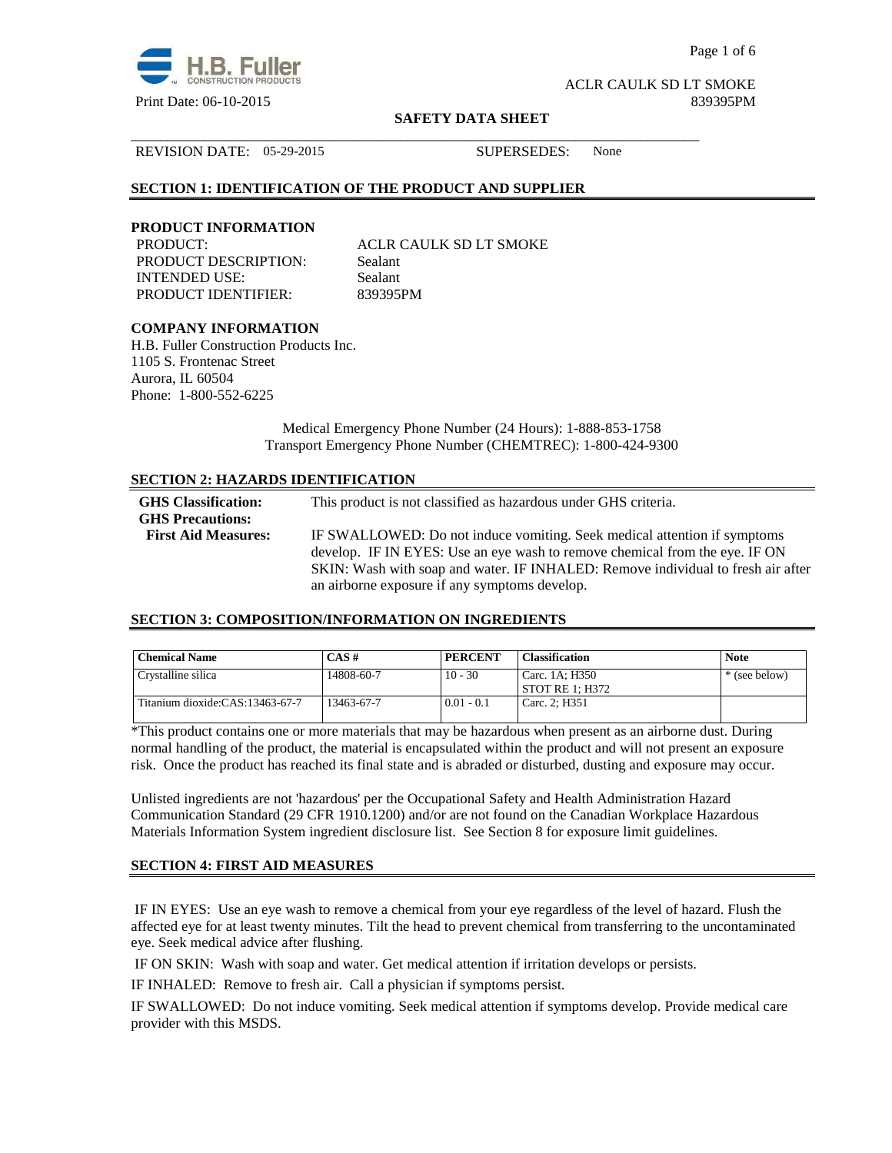

Page 1 of 6

ACLR CAULK SD LT SMOKE Print Date: 06-10-2015 839395PM

#### **SAFETY DATA SHEET**

\_\_\_\_\_\_\_\_\_\_\_\_\_\_\_\_\_\_\_\_\_\_\_\_\_\_\_\_\_\_\_\_\_\_\_\_\_\_\_\_\_\_\_\_\_\_\_\_\_\_\_\_\_\_\_\_\_\_\_\_\_\_\_\_\_\_\_\_\_\_\_\_\_\_\_\_\_\_

REVISION DATE: 05-29-2015 SUPERSEDES: None

## **SECTION 1: IDENTIFICATION OF THE PRODUCT AND SUPPLIER**

## **PRODUCT INFORMATION**

PRODUCT DESCRIPTION: Sealant INTENDED USE: Sealant PRODUCT IDENTIFIER: 839395PM

PRODUCT: ACLR CAULK SD LT SMOKE

# **COMPANY INFORMATION**

H.B. Fuller Construction Products Inc. 1105 S. Frontenac Street Aurora, IL 60504 Phone: 1-800-552-6225

> Medical Emergency Phone Number (24 Hours): 1-888-853-1758 Transport Emergency Phone Number (CHEMTREC): 1-800-424-9300

# **SECTION 2: HAZARDS IDENTIFICATION**

| <b>GHS</b> Classification:<br><b>GHS Precautions:</b> | This product is not classified as hazardous under GHS criteria.                                                                                                 |
|-------------------------------------------------------|-----------------------------------------------------------------------------------------------------------------------------------------------------------------|
| <b>First Aid Measures:</b>                            | IF SWALLOWED: Do not induce vomiting. Seek medical attention if symptoms                                                                                        |
|                                                       | develop. IF IN EYES: Use an eye wash to remove chemical from the eye. IF ON<br>SKIN: Wash with soap and water. IF INHALED: Remove individual to fresh air after |
|                                                       | an airborne exposure if any symptoms develop.                                                                                                                   |

#### **SECTION 3: COMPOSITION/INFORMATION ON INGREDIENTS**

| <b>Chemical Name</b>            | $CAS \#$   | <b>PERCENT</b> | <b>Classification</b>               | <b>Note</b>   |
|---------------------------------|------------|----------------|-------------------------------------|---------------|
| Crystalline silica              | 14808-60-7 | $10 - 30$      | Carc. 1A: H350<br>' STOT RE 1: H372 | * (see below) |
| Titanium dioxide:CAS:13463-67-7 | 13463-67-7 | $0.01 - 0.1$   | Carc. 2: H351                       |               |

\*This product contains one or more materials that may be hazardous when present as an airborne dust. During normal handling of the product, the material is encapsulated within the product and will not present an exposure risk. Once the product has reached its final state and is abraded or disturbed, dusting and exposure may occur.

Unlisted ingredients are not 'hazardous' per the Occupational Safety and Health Administration Hazard Communication Standard (29 CFR 1910.1200) and/or are not found on the Canadian Workplace Hazardous Materials Information System ingredient disclosure list. See Section 8 for exposure limit guidelines.

# **SECTION 4: FIRST AID MEASURES**

 IF IN EYES: Use an eye wash to remove a chemical from your eye regardless of the level of hazard. Flush the affected eye for at least twenty minutes. Tilt the head to prevent chemical from transferring to the uncontaminated eye. Seek medical advice after flushing.

IF ON SKIN: Wash with soap and water. Get medical attention if irritation develops or persists.

IF INHALED: Remove to fresh air. Call a physician if symptoms persist.

IF SWALLOWED:Do not induce vomiting. Seek medical attention if symptoms develop. Provide medical care provider with this MSDS.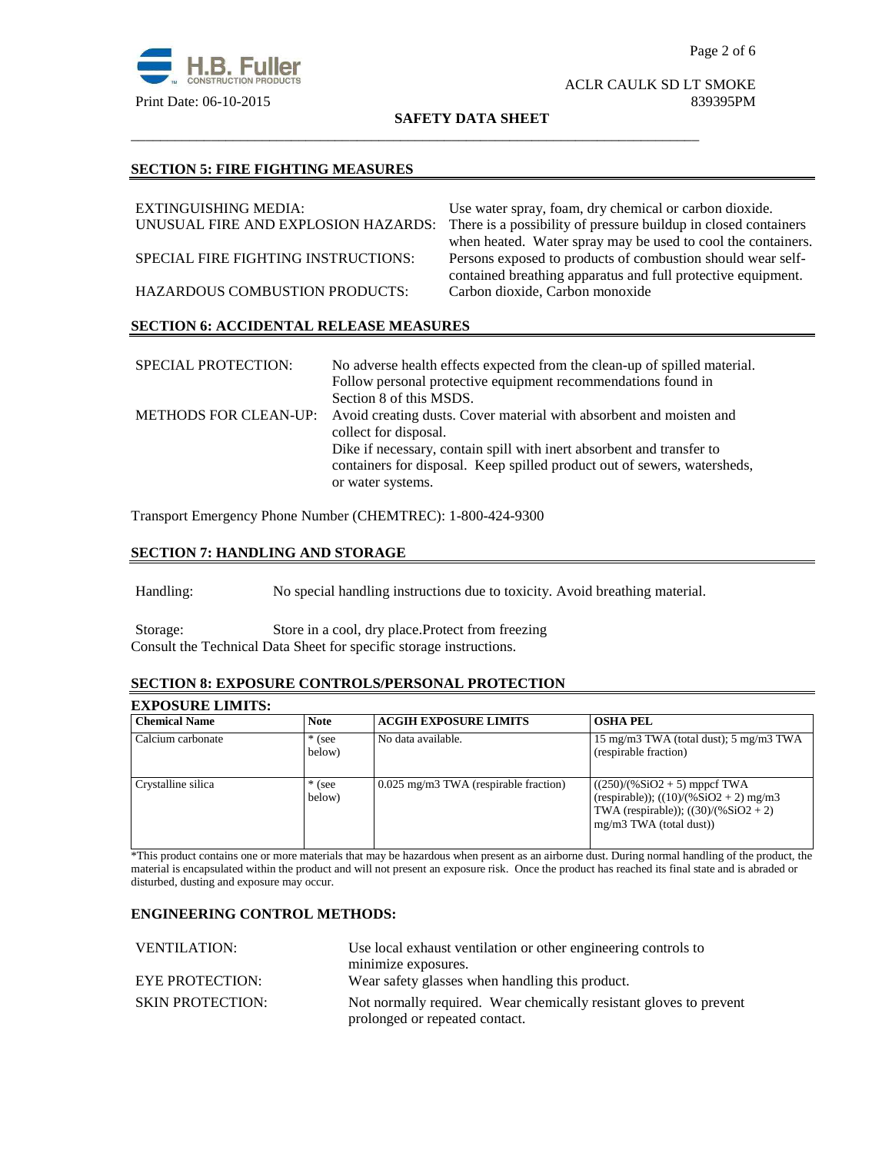

#### ACLR CAULK SD LT SMOKE Print Date: 06-10-2015 839395PM

**SAFETY DATA SHEET**

\_\_\_\_\_\_\_\_\_\_\_\_\_\_\_\_\_\_\_\_\_\_\_\_\_\_\_\_\_\_\_\_\_\_\_\_\_\_\_\_\_\_\_\_\_\_\_\_\_\_\_\_\_\_\_\_\_\_\_\_\_\_\_\_\_\_\_\_\_\_\_\_\_\_\_\_\_\_

#### **SECTION 5: FIRE FIGHTING MEASURES**

| EXTINGUISHING MEDIA:                          | Use water spray, foam, dry chemical or carbon dioxide.                                                                      |
|-----------------------------------------------|-----------------------------------------------------------------------------------------------------------------------------|
| UNUSUAL FIRE AND EXPLOSION HAZARDS:           | There is a possibility of pressure buildup in closed containers                                                             |
|                                               | when heated. Water spray may be used to cool the containers.                                                                |
| SPECIAL FIRE FIGHTING INSTRUCTIONS:           | Persons exposed to products of combustion should wear self-<br>contained breathing apparatus and full protective equipment. |
|                                               |                                                                                                                             |
| <b>HAZARDOUS COMBUSTION PRODUCTS:</b>         | Carbon dioxide, Carbon monoxide                                                                                             |
| <b>SECTION 6: ACCIDENTAL RELEASE MEASURES</b> |                                                                                                                             |

| <b>SPECIAL PROTECTION:</b> | No adverse health effects expected from the clean-up of spilled material.                 |
|----------------------------|-------------------------------------------------------------------------------------------|
|                            | Follow personal protective equipment recommendations found in                             |
|                            | Section 8 of this MSDS.                                                                   |
|                            | METHODS FOR CLEAN-UP: Avoid creating dusts. Cover material with absorbent and moisten and |
|                            | collect for disposal.                                                                     |
|                            | Dike if necessary, contain spill with inert absorbent and transfer to                     |
|                            | containers for disposal. Keep spilled product out of sewers, watersheds,                  |
|                            | or water systems.                                                                         |

Transport Emergency Phone Number (CHEMTREC): 1-800-424-9300

# **SECTION 7: HANDLING AND STORAGE**

Handling: No special handling instructions due to toxicity. Avoid breathing material.

Storage: Store in a cool, dry place.Protect from freezing Consult the Technical Data Sheet for specific storage instructions.

# **SECTION 8: EXPOSURE CONTROLS/PERSONAL PROTECTION**

# **EXPOSURE LIMITS:**

| <b>Chemical Name</b> | <b>Note</b>        | <b>ACGIH EXPOSURE LIMITS</b>            | <b>OSHA PEL</b>                                                                                                                                    |
|----------------------|--------------------|-----------------------------------------|----------------------------------------------------------------------------------------------------------------------------------------------------|
| Calcium carbonate    | $*$ (see<br>below) | No data available.                      | 15 mg/m3 TWA (total dust); 5 mg/m3 TWA<br>(respirable fraction)                                                                                    |
| Crystalline silica   | $*$ (see<br>below) | $0.025$ mg/m3 TWA (respirable fraction) | $((250)/(%SiO2 + 5)$ mppcf TWA<br>(respirable)); $((10)/(%SiO2 + 2)$ mg/m3<br>TWA (respirable)); $((30)/(%SiO2 + 2))$<br>$mg/m3$ TWA (total dust)) |

\*This product contains one or more materials that may be hazardous when present as an airborne dust. During normal handling of the product, the material is encapsulated within the product and will not present an exposure risk. Once the product has reached its final state and is abraded or disturbed, dusting and exposure may occur.

## **ENGINEERING CONTROL METHODS:**

| <b>VENTILATION:</b>     | Use local exhaust ventilation or other engineering controls to     |  |
|-------------------------|--------------------------------------------------------------------|--|
|                         | minimize exposures.                                                |  |
| <b>EYE PROTECTION:</b>  | Wear safety glasses when handling this product.                    |  |
| <b>SKIN PROTECTION:</b> | Not normally required. Wear chemically resistant gloves to prevent |  |
|                         | prolonged or repeated contact.                                     |  |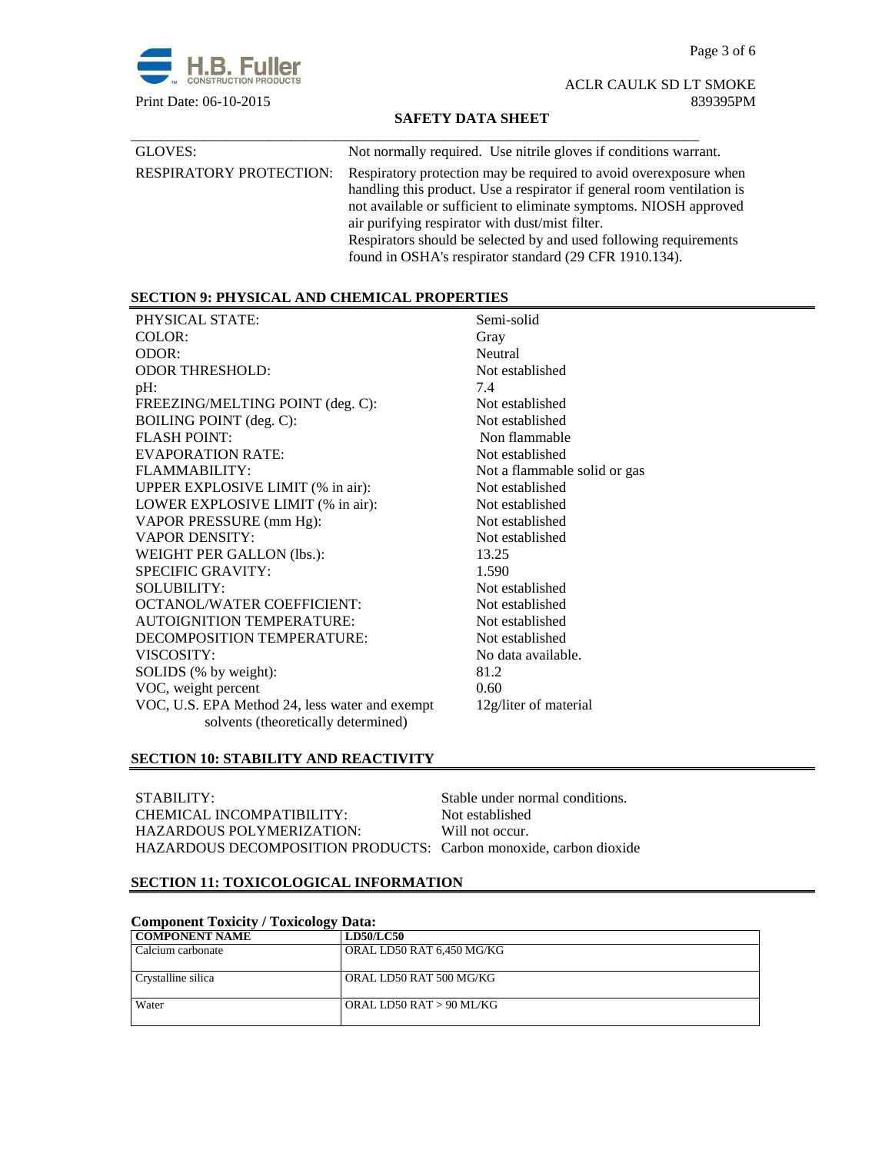Page 3 of 6



ACLR CAULK SD LT SMOKE Print Date: 06-10-2015 839395PM

## **SAFETY DATA SHEET**

| GLOVES:                        | Not normally required. Use nitrile gloves if conditions warrant.                                                                                                                                                                                                                                                                                                                                    |
|--------------------------------|-----------------------------------------------------------------------------------------------------------------------------------------------------------------------------------------------------------------------------------------------------------------------------------------------------------------------------------------------------------------------------------------------------|
| <b>RESPIRATORY PROTECTION:</b> | Respiratory protection may be required to avoid over exposure when<br>handling this product. Use a respirator if general room ventilation is<br>not available or sufficient to eliminate symptoms. NIOSH approved<br>air purifying respirator with dust/mist filter.<br>Respirators should be selected by and used following requirements<br>found in OSHA's respirator standard (29 CFR 1910.134). |

# **SECTION 9: PHYSICAL AND CHEMICAL PROPERTIES**

| PHYSICAL STATE:                                | Semi-solid                   |
|------------------------------------------------|------------------------------|
| COLOR:                                         | Gray                         |
| ODOR:                                          | Neutral                      |
| <b>ODOR THRESHOLD:</b>                         | Not established              |
| $pH$ :                                         | 7.4                          |
| FREEZING/MELTING POINT (deg. C):               | Not established              |
| BOILING POINT (deg. C):                        | Not established              |
| <b>FLASH POINT:</b>                            | Non flammable                |
| EVAPORATION RATE:                              | Not established              |
| FLAMMABILITY:                                  | Not a flammable solid or gas |
| UPPER EXPLOSIVE LIMIT (% in air):              | Not established              |
| LOWER EXPLOSIVE LIMIT (% in air):              | Not established              |
| VAPOR PRESSURE (mm Hg):                        | Not established              |
| <b>VAPOR DENSITY:</b>                          | Not established              |
| WEIGHT PER GALLON (lbs.):                      | 13.25                        |
| <b>SPECIFIC GRAVITY:</b>                       | 1.590                        |
| <b>SOLUBILITY:</b>                             | Not established              |
| <b>OCTANOL/WATER COEFFICIENT:</b>              | Not established              |
| <b>AUTOIGNITION TEMPERATURE:</b>               | Not established              |
| DECOMPOSITION TEMPERATURE:                     | Not established              |
| VISCOSITY:                                     | No data available.           |
| SOLIDS (% by weight):                          | 81.2                         |
| VOC, weight percent                            | 0.60                         |
| VOC, U.S. EPA Method 24, less water and exempt | 12g/liter of material        |
| solvents (theoretically determined)            |                              |
|                                                |                              |

# **SECTION 10: STABILITY AND REACTIVITY**

| STABILITY:                                                        | Stable under normal conditions. |
|-------------------------------------------------------------------|---------------------------------|
| CHEMICAL INCOMPATIBILITY:                                         | Not established                 |
| HAZARDOUS POLYMERIZATION:                                         | Will not occur.                 |
| HAZARDOUS DECOMPOSITION PRODUCTS: Carbon monoxide, carbon dioxide |                                 |

# **SECTION 11: TOXICOLOGICAL INFORMATION**

| <b>Component Toxicity / Toxicology Data:</b> |                           |  |
|----------------------------------------------|---------------------------|--|
| <b>COMPONENT NAME</b>                        | <b>LD50/LC50</b>          |  |
| Calcium carbonate                            | ORAL LD50 RAT 6,450 MG/KG |  |
| Crystalline silica                           | ORAL LD50 RAT 500 MG/KG   |  |
| Water                                        | ORAL LD50 RAT > 90 ML/KG  |  |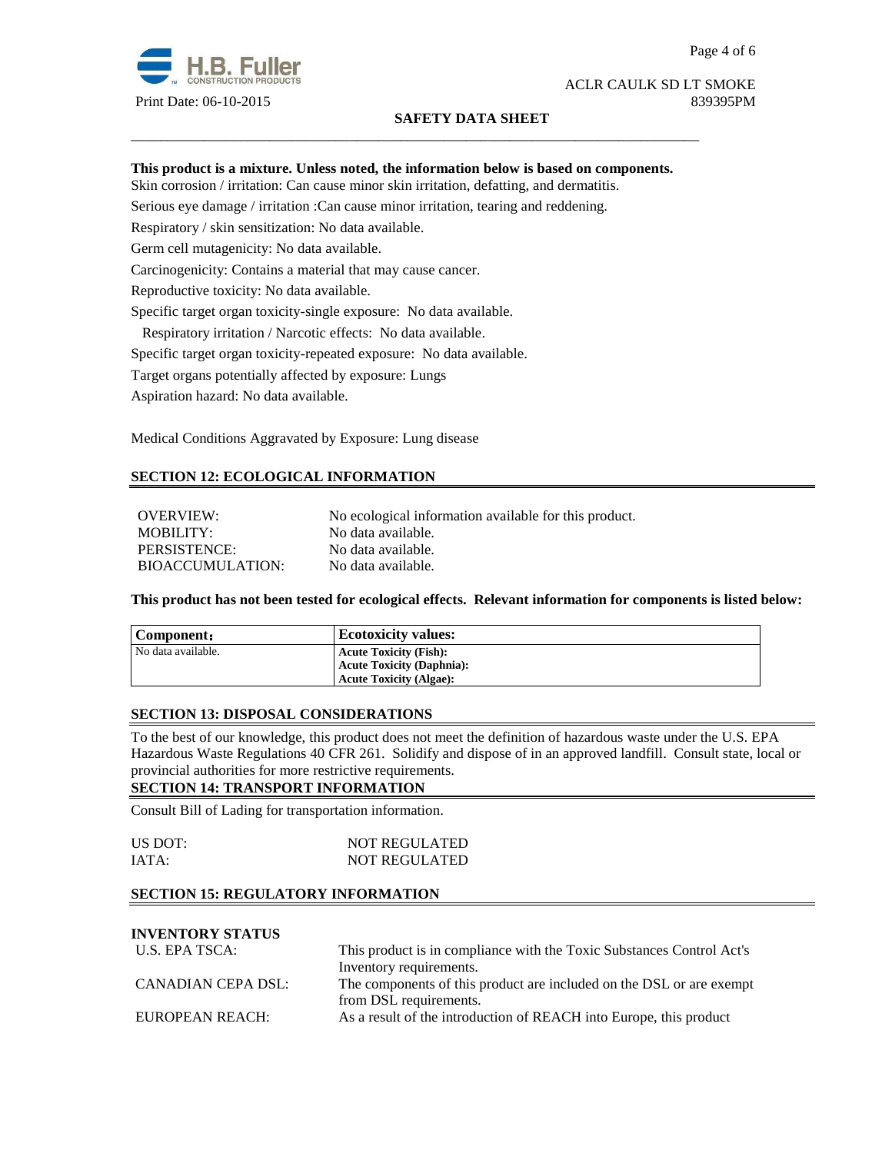

#### ACLR CAULK SD LT SMOKE Print Date: 06-10-2015 839395PM

## **SAFETY DATA SHEET**

#### **This product is a mixture. Unless noted, the information below is based on components.**

\_\_\_\_\_\_\_\_\_\_\_\_\_\_\_\_\_\_\_\_\_\_\_\_\_\_\_\_\_\_\_\_\_\_\_\_\_\_\_\_\_\_\_\_\_\_\_\_\_\_\_\_\_\_\_\_\_\_\_\_\_\_\_\_\_\_\_\_\_\_\_\_\_\_\_\_\_\_

Skin corrosion / irritation: Can cause minor skin irritation, defatting, and dermatitis.

Serious eye damage / irritation :Can cause minor irritation, tearing and reddening.

Respiratory / skin sensitization: No data available.

Germ cell mutagenicity: No data available.

Carcinogenicity: Contains a material that may cause cancer.

Reproductive toxicity: No data available.

Specific target organ toxicity-single exposure:No data available.

Respiratory irritation / Narcotic effects: No data available.

Specific target organ toxicity-repeated exposure:No data available.

Target organs potentially affected by exposure: Lungs

Aspiration hazard: No data available.

Medical Conditions Aggravated by Exposure: Lung disease

# **SECTION 12: ECOLOGICAL INFORMATION**

OVERVIEW: No ecological information available for this product. MOBILITY: No data available. PERSISTENCE: No data available. BIOACCUMULATION: No data available.

**This product has not been tested for ecological effects. Relevant information for components is listed below:** 

| Component:         | <b>Ecotoxicity values:</b>       |
|--------------------|----------------------------------|
| No data available. | <b>Acute Toxicity (Fish):</b>    |
|                    | <b>Acute Toxicity (Daphnia):</b> |
|                    | <b>Acute Toxicity (Algae):</b>   |

#### **SECTION 13: DISPOSAL CONSIDERATIONS**

To the best of our knowledge, this product does not meet the definition of hazardous waste under the U.S. EPA Hazardous Waste Regulations 40 CFR 261. Solidify and dispose of in an approved landfill. Consult state, local or provincial authorities for more restrictive requirements.

#### **SECTION 14: TRANSPORT INFORMATION**

Consult Bill of Lading for transportation information.

| US DOT: | <b>NOT REGULATED</b> |
|---------|----------------------|
| IATA:   | <b>NOT REGULATED</b> |

## **SECTION 15: REGULATORY INFORMATION**

# **INVENTORY STATUS**

| U.S. EPA TSCA:     | This product is in compliance with the Toxic Substances Control Act's |  |
|--------------------|-----------------------------------------------------------------------|--|
|                    | Inventory requirements.                                               |  |
| CANADIAN CEPA DSL: | The components of this product are included on the DSL or are exempt  |  |
|                    | from DSL requirements.                                                |  |
| EUROPEAN REACH:    | As a result of the introduction of REACH into Europe, this product    |  |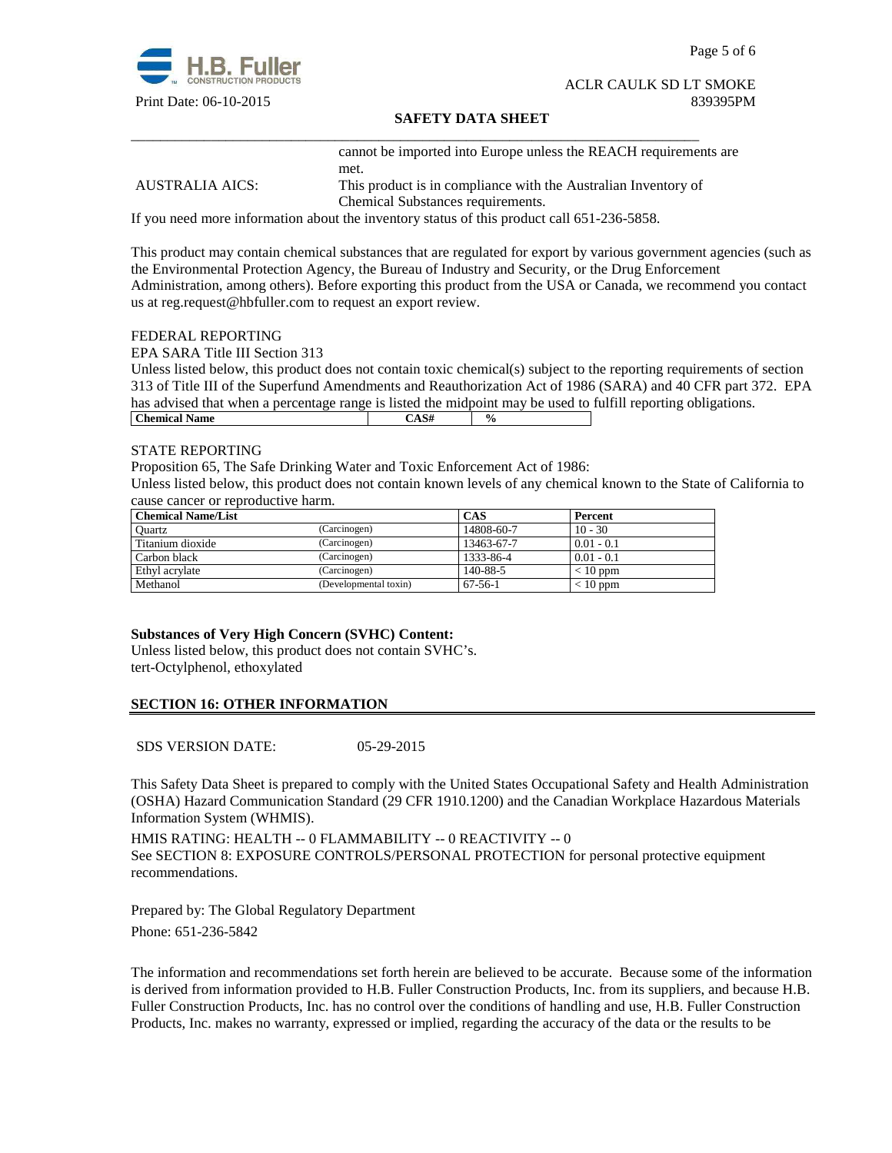

Page 5 of 6

#### ACLR CAULK SD LT SMOKE Print Date: 06-10-2015 839395PM

#### **SAFETY DATA SHEET**

\_\_\_\_\_\_\_\_\_\_\_\_\_\_\_\_\_\_\_\_\_\_\_\_\_\_\_\_\_\_\_\_\_\_\_\_\_\_\_\_\_\_\_\_\_\_\_\_\_\_\_\_\_\_\_\_\_\_\_\_\_\_\_\_\_\_\_\_\_\_\_\_\_\_\_\_\_\_ cannot be imported into Europe unless the REACH requirements are met.

AUSTRALIA AICS: This product is in compliance with the Australian Inventory of Chemical Substances requirements.

If you need more information about the inventory status of this product call 651-236-5858.

This product may contain chemical substances that are regulated for export by various government agencies (such as the Environmental Protection Agency, the Bureau of Industry and Security, or the Drug Enforcement Administration, among others). Before exporting this product from the USA or Canada, we recommend you contact us at reg.request@hbfuller.com to request an export review.

#### FEDERAL REPORTING

EPA SARA Title III Section 313

Unless listed below, this product does not contain toxic chemical(s) subject to the reporting requirements of section 313 of Title III of the Superfund Amendments and Reauthorization Act of 1986 (SARA) and 40 CFR part 372. EPA has advised that when a percentage range is listed the midpoint may be used to fulfill reporting obligations. **Chemical Name**  $\qquad \qquad$   $\qquad \qquad$   $\qquad \qquad$   $\qquad \qquad$   $\qquad \qquad$   $\qquad \qquad$   $\qquad \qquad$   $\qquad \qquad$   $\qquad \qquad$   $\qquad \qquad$   $\qquad \qquad$   $\qquad \qquad$   $\qquad \qquad$   $\qquad \qquad$   $\qquad \qquad$   $\qquad \qquad$   $\qquad \qquad$   $\qquad \qquad$   $\qquad \qquad$   $\qquad \qquad$   $\qquad \qquad$   $\qquad \qquad$   $\qquad \qquad$ 

#### STATE REPORTING

Proposition 65, The Safe Drinking Water and Toxic Enforcement Act of 1986:

Unless listed below, this product does not contain known levels of any chemical known to the State of California to cause cancer or reproductive harm.

| <b>Chemical Name/List</b> |                       | CAS        | Percent      |
|---------------------------|-----------------------|------------|--------------|
| Ouartz                    | (Carcinogen)          | 14808-60-7 | $10 - 30$    |
| Titanium dioxide          | (Carcinogen)          | 13463-67-7 | $0.01 - 0.1$ |
| Carbon black              | (Carcinogen)          | 1333-86-4  | $0.01 - 0.1$ |
| Ethyl acrylate            | (Carcinogen)          | 140-88-5   | $< 10$ ppm   |
| Methanol                  | (Developmental toxin) | $67-56-1$  | $< 10$ ppm   |

#### **Substances of Very High Concern (SVHC) Content:**

Unless listed below, this product does not contain SVHC's. tert-Octylphenol, ethoxylated

## **SECTION 16: OTHER INFORMATION**

SDS VERSION DATE: 05-29-2015

This Safety Data Sheet is prepared to comply with the United States Occupational Safety and Health Administration (OSHA) Hazard Communication Standard (29 CFR 1910.1200) and the Canadian Workplace Hazardous Materials Information System (WHMIS).

HMIS RATING: HEALTH -- 0 FLAMMABILITY -- 0 REACTIVITY -- 0 See SECTION 8: EXPOSURE CONTROLS/PERSONAL PROTECTION for personal protective equipment recommendations.

Prepared by: The Global Regulatory Department Phone: 651-236-5842

The information and recommendations set forth herein are believed to be accurate. Because some of the information is derived from information provided to H.B. Fuller Construction Products, Inc. from its suppliers, and because H.B. Fuller Construction Products, Inc. has no control over the conditions of handling and use, H.B. Fuller Construction Products, Inc. makes no warranty, expressed or implied, regarding the accuracy of the data or the results to be